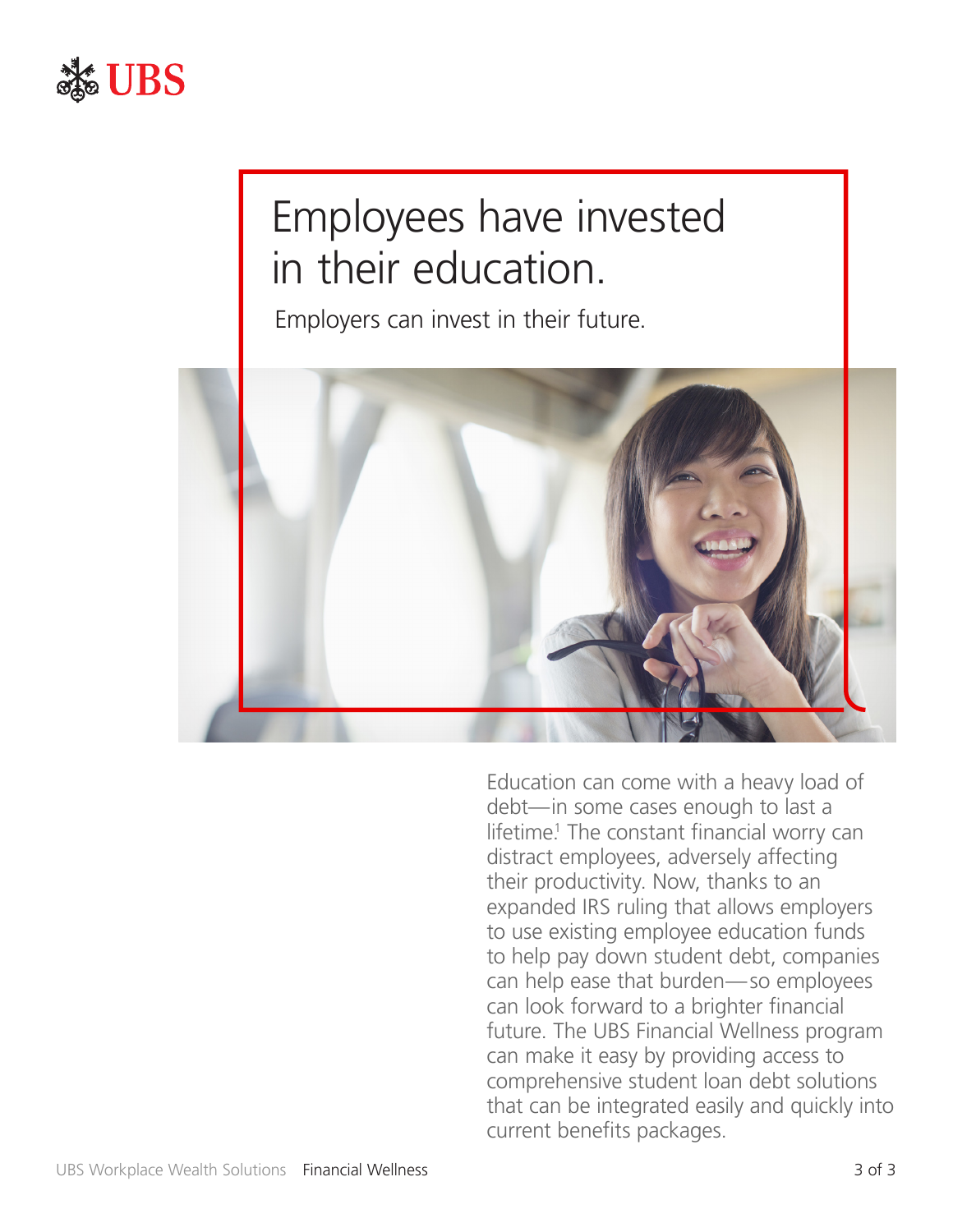

## Employees have invested in their education.

Employers can invest in their future.



Education can come with a heavy load of debt—in some cases enough to last a lifetime! The constant financial worry can distract employees, adversely affecting their productivity. Now, thanks to an expanded IRS ruling that allows employers to use existing employee education funds to help pay down student debt, companies can help ease that burden—so employees can look forward to a brighter financial future. The UBS Financial Wellness program can make it easy by providing access to comprehensive student loan debt solutions that can be integrated easily and quickly into current benefits packages.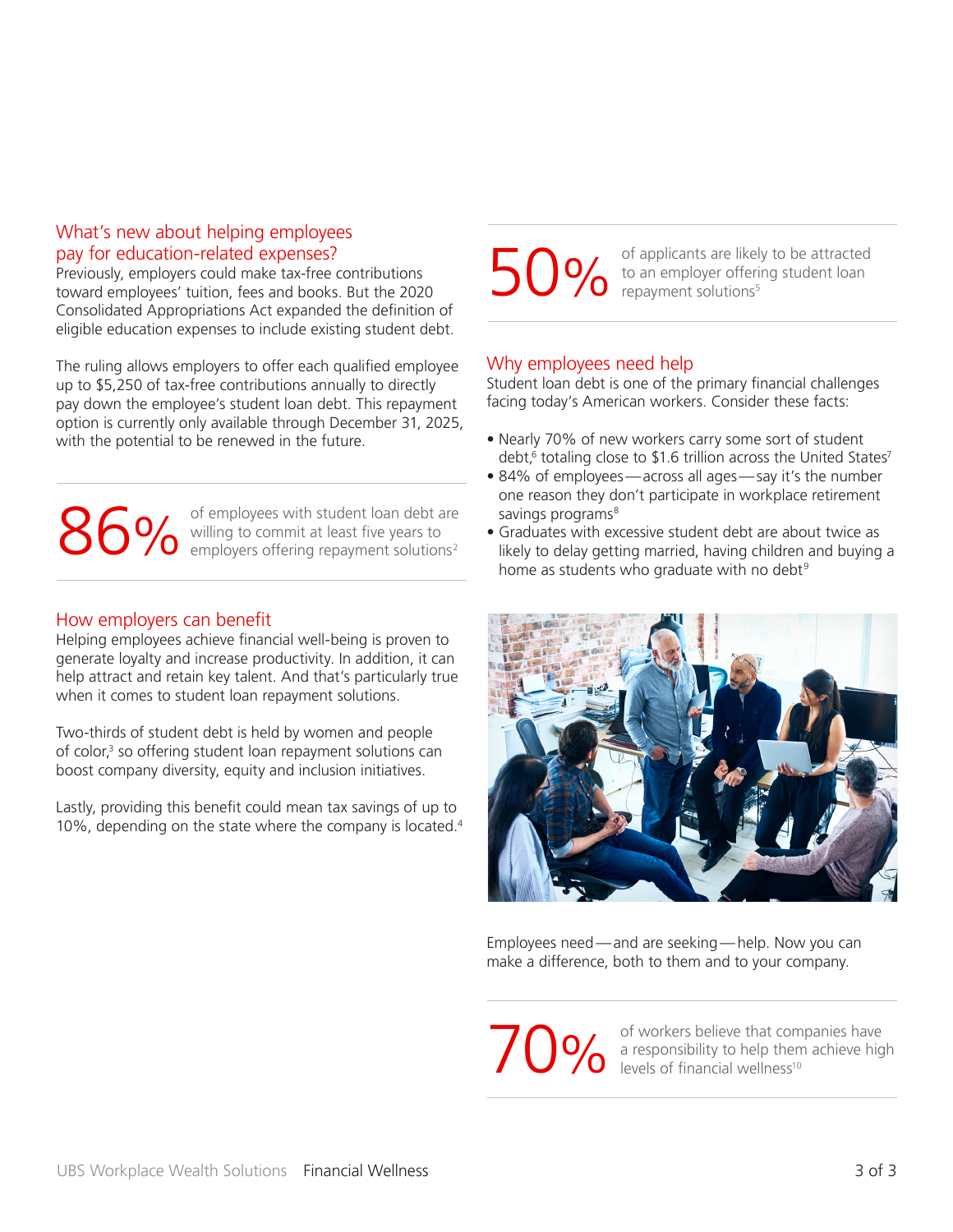### What's new about helping employees pay for education-related expenses?

Previously, employers could make tax-free contributions toward employees' tuition, fees and books. But the 2020 Consolidated Appropriations Act expanded the definition of eligible education expenses to include existing student debt.

The ruling allows employers to offer each qualified employee up to \$5,250 of tax-free contributions annually to directly pay down the employee's student loan debt. This repayment option is currently only available through December 31, 2025, with the potential to be renewed in the future.

of employees with student loan debt are willing to commit at least five years to employees with student loan debt are<br> **86%** willing to commit at least five years to<br>
employers offering repayment solutions<sup>2</sup>

#### How employers can benefit

Helping employees achieve financial well-being is proven to generate loyalty and increase productivity. In addition, it can help attract and retain key talent. And that's particularly true when it comes to student loan repayment solutions.

Two-thirds of student debt is held by women and people of color,<sup>3</sup> so offering student loan repayment solutions can boost company diversity, equity and inclusion initiatives.

Lastly, providing this benefit could mean tax savings of up to 10%, depending on the state where the company is located.4

of applicants are likely to be attracted to an employer offering student loan repayment solutions $5$ 

#### Why employees need help

Student loan debt is one of the primary financial challenges facing today's American workers. Consider these facts:

- Nearly 70% of new workers carry some sort of student debt,<sup>6</sup> totaling close to \$1.6 trillion across the United States<sup>7</sup>
- 84% of employees—across all ages—say it's the number one reason they don't participate in workplace retirement savings programs<sup>8</sup>
- Graduates with excessive student debt are about twice as likely to delay getting married, having children and buying a home as students who graduate with no debt<sup>9</sup>



Employees need—and are seeking—help. Now you can make a difference, both to them and to your company.

of workers believe that companies have a responsibility to help them achieve high **10%** of workers believe that com<br>a responsibility to help then<br>levels of financial wellness<sup>10</sup>